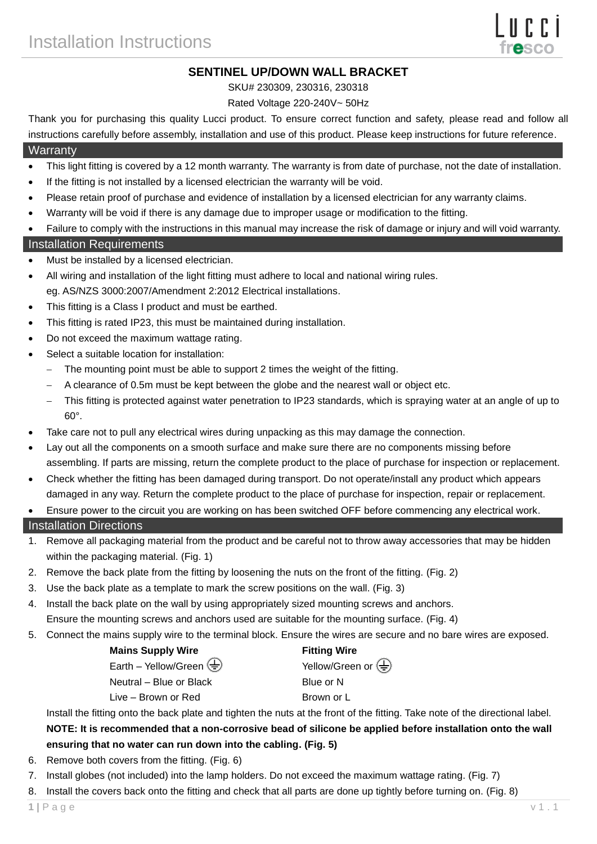## **SENTINEL UP/DOWN WALL BRACKET**

SKU# 230309, 230316, 230318

### Rated Voltage 220-240V~ 50Hz

Thank you for purchasing this quality Lucci product. To ensure correct function and safety, please read and follow all instructions carefully before assembly, installation and use of this product. Please keep instructions for future reference.

#### **Warranty**

- This light fitting is covered by a 12 month warranty. The warranty is from date of purchase, not the date of installation.
- If the fitting is not installed by a licensed electrician the warranty will be void.
- Please retain proof of purchase and evidence of installation by a licensed electrician for any warranty claims.
- Warranty will be void if there is any damage due to improper usage or modification to the fitting.
- Failure to comply with the instructions in this manual may increase the risk of damage or injury and will void warranty.

#### Installation Requirements

- Must be installed by a licensed electrician.
- All wiring and installation of the light fitting must adhere to local and national wiring rules.
- eg. AS/NZS 3000:2007/Amendment 2:2012 Electrical installations.
- This fitting is a Class I product and must be earthed.
- This fitting is rated IP23, this must be maintained during installation.
- Do not exceed the maximum wattage rating.
- Select a suitable location for installation:
	- The mounting point must be able to support 2 times the weight of the fitting.
	- A clearance of 0.5m must be kept between the globe and the nearest wall or object etc.
	- This fitting is protected against water penetration to IP23 standards, which is spraying water at an angle of up to 60°.
- Take care not to pull any electrical wires during unpacking as this may damage the connection.
- Lay out all the components on a smooth surface and make sure there are no components missing before assembling. If parts are missing, return the complete product to the place of purchase for inspection or replacement.
- Check whether the fitting has been damaged during transport. Do not operate/install any product which appears damaged in any way. Return the complete product to the place of purchase for inspection, repair or replacement.
- Ensure power to the circuit you are working on has been switched OFF before commencing any electrical work.

#### Installation Directions

- 1. Remove all packaging material from the product and be careful not to throw away accessories that may be hidden within the packaging material. (Fig. 1)
- 2. Remove the back plate from the fitting by loosening the nuts on the front of the fitting. (Fig. 2)
- 3. Use the back plate as a template to mark the screw positions on the wall. (Fig. 3)
- 4. Install the back plate on the wall by using appropriately sized mounting screws and anchors. Ensure the mounting screws and anchors used are suitable for the mounting surface. (Fig. 4)
- 5. Connect the mains supply wire to the terminal block. Ensure the wires are secure and no bare wires are exposed.

| <b>Mains Supply Wire</b> |  |
|--------------------------|--|

Earth – Yellow/Green  $\left(\frac{\Gamma}{2}\right)$  Yellow/Green or  $\left(\frac{\Gamma}{2}\right)$ 

Neutral – Blue or Black Blue or N

Live – Brown or Red Brown or L

Install the fitting onto the back plate and tighten the nuts at the front of the fitting. Take note of the directional label. **NOTE: It is recommended that a non-corrosive bead of silicone be applied before installation onto the wall ensuring that no water can run down into the cabling. (Fig. 5)**

- 6. Remove both covers from the fitting. (Fig. 6)
- 7. Install globes (not included) into the lamp holders. Do not exceed the maximum wattage rating. (Fig. 7)
- 8. Install the covers back onto the fitting and check that all parts are done up tightly before turning on. (Fig. 8)

**Fitting Wire**